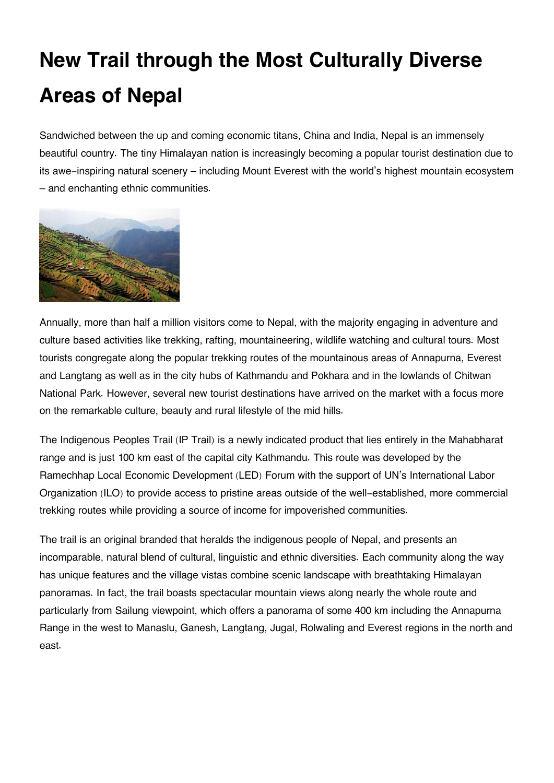## **New Trail through the Most Culturally Diverse Areas of Nepal**

Sandwiched between the up and coming economic titans, China and India, Nepal is an immensely beautiful country. The tiny Himalayan nation is increasingly becoming a popular tourist destination due to its awe-inspiring natural scenery – including Mount Everest with the world's highest mountain ecosystem – and enchanting ethnic communities.



Annually, more than half a million visitors come to Nepal, with the majority engaging in adventure and culture based activities like trekking, rafting, mountaineering, wildlife watching and cultural tours. Most tourists congregate along the popular trekking routes of the mountainous areas of Annapurna, Everest and Langtang as well as in the city hubs of Kathmandu and Pokhara and in the lowlands of Chitwan National Park. However, several new tourist destinations have arrived on the market with a focus more on the remarkable culture, beauty and rural lifestyle of the mid hills.

The Indigenous Peoples Trail (IP Trail) is a newly indicated product that lies entirely in the Mahabharat range and is just 100 km east of the capital city Kathmandu. This route was developed by the Ramechhap Local Economic Development (LED) Forum with the support of UN's International Labor Organization (ILO) to provide access to pristine areas outside of the well-established, more commercial trekking routes while providing a source of income for impoverished communities.

The trail is an original branded that heralds the indigenous people of Nepal, and presents an incomparable, natural blend of cultural, linguistic and ethnic diversities. Each community along the way has unique features and the village vistas combine scenic landscape with breathtaking Himalayan panoramas. In fact, the trail boasts spectacular mountain views along nearly the whole route and particularly from Sailung viewpoint, which offers a panorama of some 400 km including the Annapurna Range in the west to Manaslu, Ganesh, Langtang, Jugal, Rolwaling and Everest regions in the north and east.